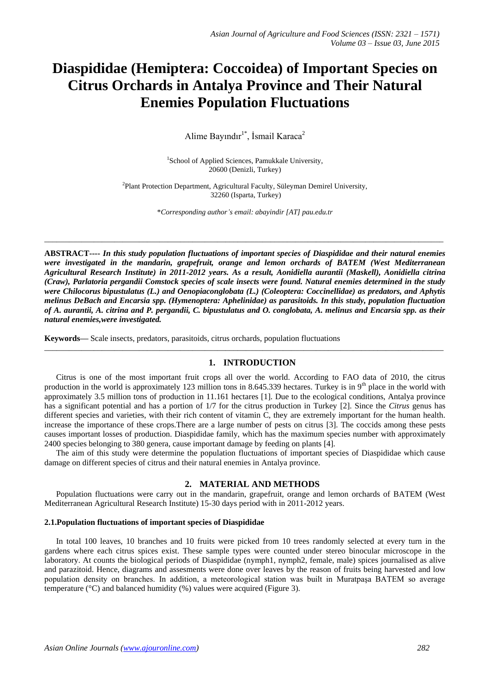# **Diaspididae (Hemiptera: Coccoidea) of Important Species on Citrus Orchards in Antalya Province and Their Natural Enemies Population Fluctuations**

Alime Bayındır<sup>1\*</sup>, İsmail Karaca<sup>2</sup>

<sup>1</sup>School of Applied Sciences, Pamukkale University, 20600 (Denizli, Turkey)

<sup>2</sup>Plant Protection Department, Agricultural Faculty, Süleyman Demirel University, 32260 (Isparta, Turkey)

\**Corresponding author's email: abayindir [AT] pau.edu.tr*

**\_\_\_\_\_\_\_\_\_\_\_\_\_\_\_\_\_\_\_\_\_\_\_\_\_\_\_\_\_\_\_\_\_\_\_\_\_\_\_\_\_\_\_\_\_\_\_\_\_\_\_\_\_\_\_\_\_\_\_\_\_\_\_\_\_\_\_\_\_\_\_\_\_\_\_\_\_\_\_\_\_\_\_\_\_\_\_\_\_\_\_\_\_\_\_\_\_**

**ABSTRACT----** *In this study population fluctuations of important species of Diaspididae and their natural enemies were investigated in the mandarin, grapefruit, orange and lemon orchards of BATEM (West Mediterranean Agricultural Research Institute) in 2011-2012 years. As a result, Aonidiella aurantii (Maskell), Aonidiella citrina (Craw), Parlatoria pergandii Comstock species of scale insects were found. Natural enemies determined in the study were Chilocorus bipustulatus (L.) and Oenopiaconglobata (L.) (Coleoptera: Coccinellidae) as predators, and Aphytis melinus DeBach and Encarsia spp. (Hymenoptera: Aphelinidae) as parasitoids. In this study, population fluctuation of A. aurantii, A. citrina and P. pergandii, C. bipustulatus and O. conglobata, A. melinus and Encarsia spp. as their natural enemies,were investigated.* 

**Keywords—** Scale insects, predators, parasitoids, citrus orchards, population fluctuations

# **1. INTRODUCTION**

**\_\_\_\_\_\_\_\_\_\_\_\_\_\_\_\_\_\_\_\_\_\_\_\_\_\_\_\_\_\_\_\_\_\_\_\_\_\_\_\_\_\_\_\_\_\_\_\_\_\_\_\_\_\_\_\_\_\_\_\_\_\_\_\_\_\_\_\_\_\_\_\_\_\_\_\_\_\_\_\_\_\_\_\_\_\_\_\_\_\_\_\_\_\_\_\_\_**

Citrus is one of the most important fruit crops all over the world. According to FAO data of 2010, the citrus production in the world is approximately 123 million tons in 8.645.339 hectares. Turkey is in  $9<sup>th</sup>$  place in the world with approximately 3.5 million tons of production in 11.161 hectares [1]. Due to the ecological conditions, Antalya province has a significant potential and has a portion of 1/7 for the citrus production in Turkey [2]. Since the *Citrus* genus has different species and varieties, with their rich content of vitamin C, they are extremely important for the human health. increase the importance of these crops.There are a large number of pests on citrus [3]. The coccids among these pests causes important losses of production. Diaspididae family, which has the maximum species number with approximately 2400 species belonging to 380 genera, cause important damage by feeding on plants [4].

The aim of this study were determine the population fluctuations of important species of Diaspididae which cause damage on different species of citrus and their natural enemies in Antalya province.

# **2. MATERIAL AND METHODS**

Population fluctuations were carry out in the mandarin, grapefruit, orange and lemon orchards of BATEM (West Mediterranean Agricultural Research Institute) 15-30 days period with in 2011-2012 years.

#### **2.1.Population fluctuations of important species of Diaspididae**

In total 100 leaves, 10 branches and 10 fruits were picked from 10 trees randomly selected at every turn in the gardens where each citrus spices exist. These sample types were counted under stereo binocular microscope in the laboratory. At counts the biological periods of Diaspididae (nymph1, nymph2, female, male) spices journalised as alive and parazitoid. Hence, diagrams and assesments were done over leaves by the reason of fruits being harvested and low population density on branches. In addition, a meteorological station was built in Muratpaşa BATEM so average temperature (°C) and balanced humidity (%) values were acquired (Figure 3).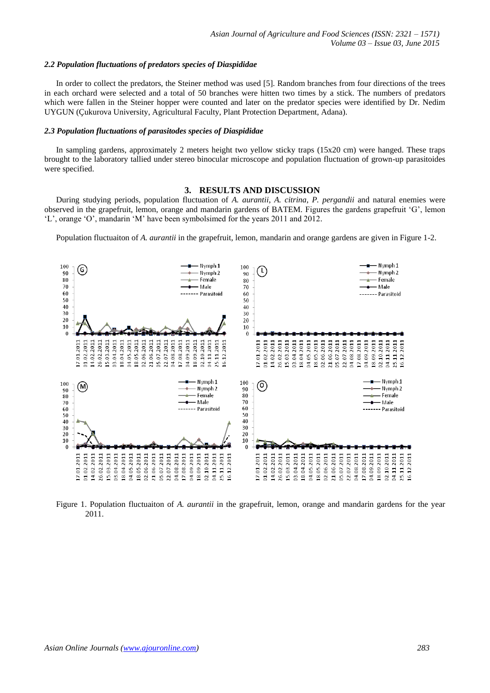#### *2.2 Population fluctuations of predators species of Diaspididae*

In order to collect the predators, the Steiner method was used [5]. Random branches from four directions of the trees in each orchard were selected and a total of 50 branches were hitten two times by a stick. The numbers of predators which were fallen in the Steiner hopper were counted and later on the predator species were identified by Dr. Nedim UYGUN (Çukurova University, Agricultural Faculty, Plant Protection Department, Adana).

### *2.3 Population fluctuations of parasitodes species of Diaspididae*

In sampling gardens, approximately 2 meters height two yellow sticky traps (15x20 cm) were hanged. These traps brought to the laboratory tallied under stereo binocular microscope and population fluctuation of grown-up parasitoides were specified.

# **3. RESULTS AND DISCUSSION**

During studying periods, population fluctuation of *A. aurantii*, *A. citrina*, *P. pergandii* and natural enemies were observed in the grapefruit, lemon, orange and mandarin gardens of BATEM. Figures the gardens grapefruit "G", lemon 'L', orange 'O', mandarin 'M' have been symbolsimed for the years 2011 and 2012.

Population fluctuaiton of *A. aurantii* in the grapefruit, lemon, mandarin and orange gardens are given in Figure 1-2.



Figure 1. Population fluctuaiton of *A. aurantii* in the grapefruit, lemon, orange and mandarin gardens for the year 2011.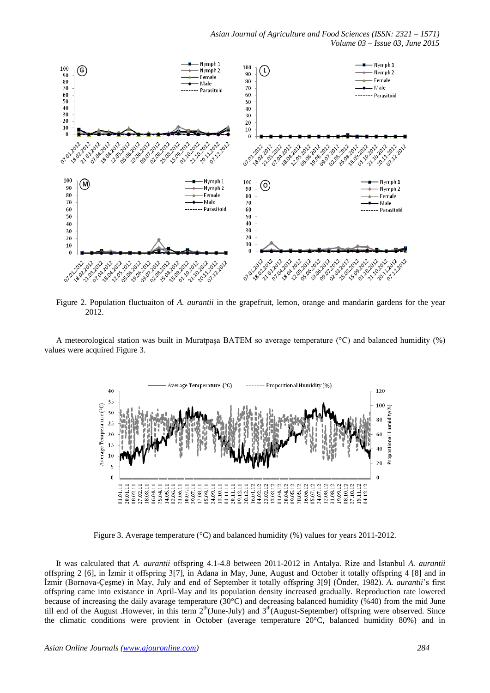

Figure 2. Population fluctuaiton of *A. aurantii* in the grapefruit, lemon, orange and mandarin gardens for the year 2012.

A meteorological station was built in Muratpaşa BATEM so average temperature (°C) and balanced humidity (%) values were acquired Figure 3.



Figure 3. Average temperature (°C) and balanced humidity (%) values for years 2011-2012.

It was calculated that *A. aurantii* offspring 4.1-4.8 between 2011-2012 in Antalya. Rize and İstanbul *A. aurantii* offspring 2 [6], in İzmir it offspring 3[7], in Adana in May, June, August and October it totally offspring 4 [8] and in İzmir (Bornova-Çeşme) in May, July and end of September it totally offspring 3[9] (Önder, 1982). *A. aurantii*"s first offspring came into existance in April-May and its population density increased gradually. Reproduction rate lowered because of increasing the daily avarage temperature (30°C) and decreasing balanced humidity (%40) from the mid June till end of the August .However, in this term  $2<sup>th</sup>(June-July)$  and  $3<sup>th</sup>(August-September)$  offspring were observed. Since the climatic conditions were provient in October (average temperature 20°C, balanced humidity 80%) and in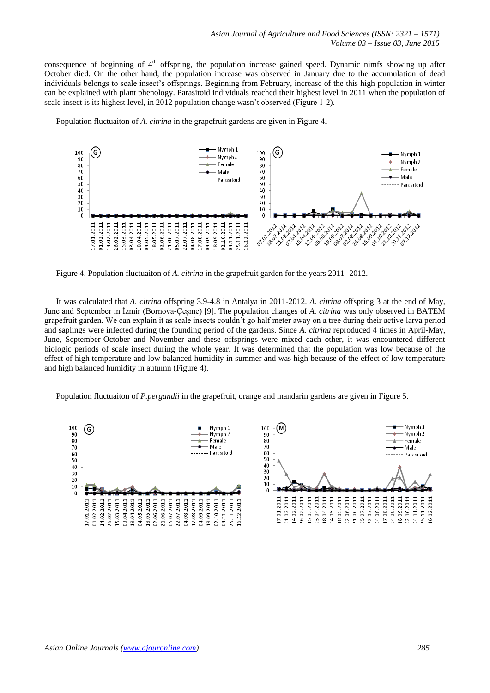consequence of beginning of  $4<sup>th</sup>$  offspring, the population increase gained speed. Dynamic nimfs showing up after October died. On the other hand, the population increase was observed in January due to the accumulation of dead individuals belongs to scale insect"s offsprings. Beginning from February, increase of the this high population in winter can be explained with plant phenology. Parasitoid individuals reached their highest level in 2011 when the population of scale insect is its highest level, in 2012 population change wasn"t observed (Figure 1-2).

Population fluctuaiton of *A. citrina* in the grapefruit gardens are given in Figure 4.



Figure 4. Population fluctuaiton of *A. citrina* in the grapefruit garden for the years 2011- 2012.

It was calculated that *A. citrina* offspring 3.9-4.8 in Antalya in 2011-2012. *A. citrina* offspring 3 at the end of May, June and September in İzmir (Bornova-Çeşme) [9]. The population changes of *A. citrina* was only observed in BATEM grapefruit garden. We can explain it as scale insects couldn"t go half meter away on a tree during their active larva period and saplings were infected during the founding period of the gardens. Since *A. citrina* reproduced 4 times in April-May, June, September-October and November and these offsprings were mixed each other, it was encountered different biologic periods of scale insect during the whole year. It was determined that the population was low because of the effect of high temperature and low balanced humidity in summer and was high because of the effect of low temperature and high balanced humidity in autumn (Figure 4).

Population fluctuaiton of *P.pergandii* in the grapefruit, orange and mandarin gardens are given in Figure 5.

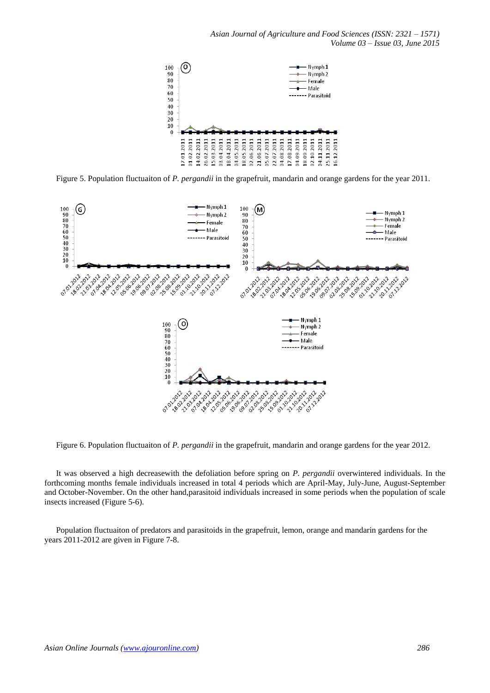

Figure 5. Population fluctuaiton of *P. pergandii* in the grapefruit, mandarin and orange gardens for the year 2011.



Figure 6. Population fluctuaiton of *P. pergandii* in the grapefruit, mandarin and orange gardens for the year 2012.

It was observed a high decreasewith the defoliation before spring on *P. pergandii* overwintered individuals. In the forthcoming months female individuals increased in total 4 periods which are April-May, July-June, August-September and October-November. On the other hand,parasitoid individuals increased in some periods when the population of scale insects increased (Figure 5-6).

Population fluctuaiton of predators and parasitoids in the grapefruit, lemon, orange and mandarin gardens for the years 2011-2012 are given in Figure 7-8.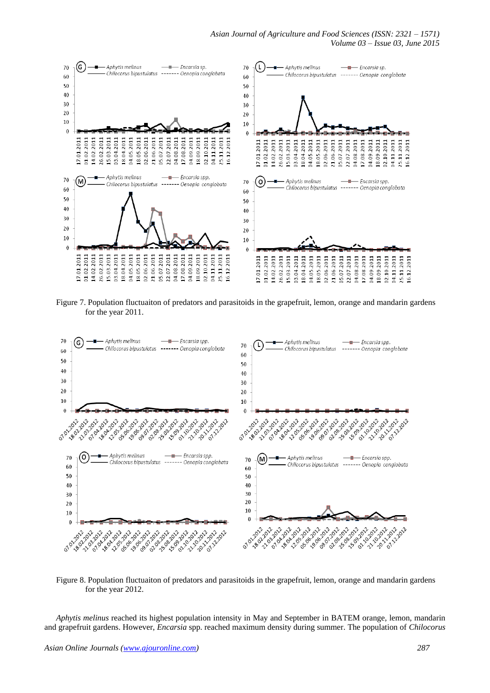

Figure 7. Population fluctuaiton of predators and parasitoids in the grapefruit, lemon, orange and mandarin gardens for the year 2011.



Figure 8. Population fluctuaiton of predators and parasitoids in the grapefruit, lemon, orange and mandarin gardens for the year 2012.

*Aphytis melinus* reached its highest population intensity in May and September in BATEM orange, lemon, mandarin and grapefruit gardens. However, *Encarsia* spp. reached maximum density during summer. The population of *Chilocorus*